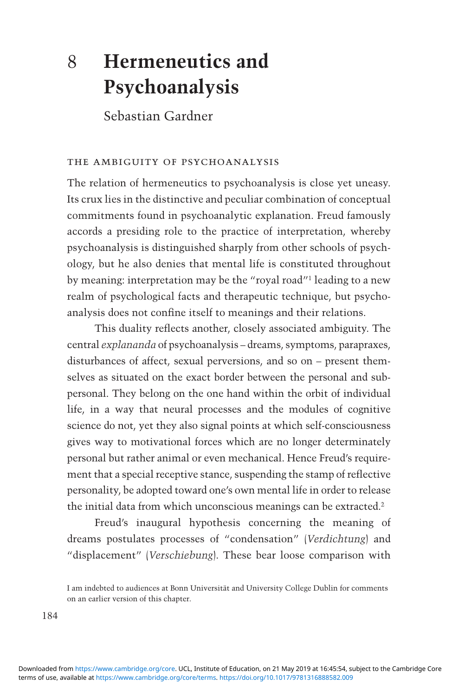# 8 **Hermeneutics and Psychoanalysis**

Sebastian Gardner

#### THE AMBIGUITY OF PSYCHOANALYSIS

The relation of hermeneutics to psychoanalysis is close yet uneasy. Its crux lies in the distinctive and peculiar combination of conceptual commitments found in psychoanalytic explanation. Freud famously accords a presiding role to the practice of interpretation, whereby psychoanalysis is distinguished sharply from other schools of psychology, but he also denies that mental life is constituted throughout by meaning: interpretation may be the "royal road" leading to a new realm of psychological facts and therapeutic technique, but psychoanalysis does not confine itself to meanings and their relations.

This duality reflects another, closely associated ambiguity. The central *explananda* of psychoanalysis –dreams, symptoms, parapraxes, disturbances of affect, sexual perversions, and so on – present themselves as situated on the exact border between the personal and subpersonal. They belong on the one hand within the orbit of individual life, in a way that neural processes and the modules of cognitive science do not, yet they also signal points at which self-consciousness gives way to motivational forces which are no longer determinately personal but rather animal or even mechanical. Hence Freud 's requirement that a special receptive stance, suspending the stamp of reflective personality, be adopted toward one's own mentallife in order to release the initial data from which unconscious meanings can be extracted.<sup>2</sup>

Freud's inaugural hypothesis concerning the meaning of dreams postulates processes of "condensation" ( *Verdichtung*) and "displacement" (Verschiebung). These bear loose comparison with

I am indebted to audiences at Bonn Universität and University College Dublin for comments on an earlier version of this chapter.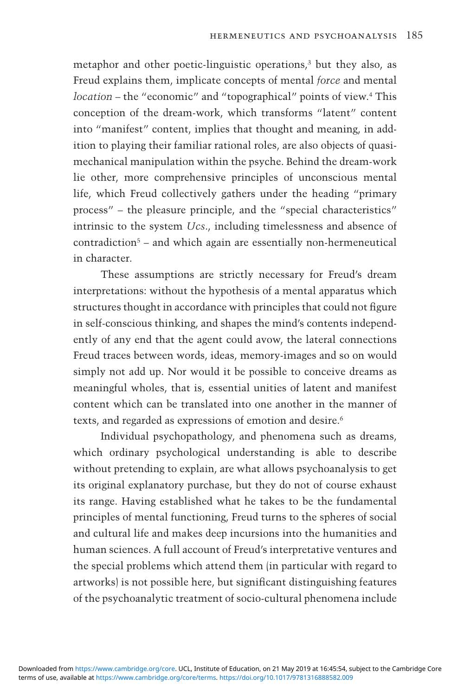metaphor and other poetic-linguistic operations,<sup>3</sup> but they also, as Freud explains them, implicate concepts of mental *force* and mental *location* – the "economic" and "topographical" points of view.<sup>4</sup> This conception of the dream- work, which transforms "latent" content into "manifest" content, implies that thought and meaning, in addition to playing their familiar rational roles, are also objects of quasimechanical manipulation within the psyche. Behind the dream- work lie other, more comprehensive principles of unconscious mental life, which Freud collectively gathers under the heading "primary process" – the pleasure principle, and the "special characteristics" intrinsic to the system *Ucs*., including timelessness and absence of  $contradiction<sup>5</sup> – and which again are essentially non-hermemetrical$ in character.

These assumptions are strictly necessary for Freud's dream interpretations: without the hypothesis of a mental apparatus which structures thought in accordance with principles that could not figure in self-conscious thinking, and shapes the mind's contents independently of any end that the agent could avow, the lateral connections Freud traces between words, ideas, memory-images and so on would simply not add up. Nor would it be possible to conceive dreams as meaningful wholes, that is, essential unities of latent and manifest content which can be translated into one another in the manner of texts, and regarded as expressions of emotion and desire.<sup>6</sup>

Individual psychopathology, and phenomena such as dreams, which ordinary psychological understanding is able to describe without pretending to explain, are what allows psychoanalysisto get its original explanatory purchase, but they do not of course exhaust its range. Having established what he takes to be the fundamental principles of mental functioning, Freud turns to the spheres of social and cultural life and makes deep incursions into the humanities and human sciences. A full account of Freud's interpretative ventures and the special problems which attend them (in particular with regard to artworks) is not possible here, but significant distinguishing features of the psychoanalytic treatment of socio- cultural phenomena include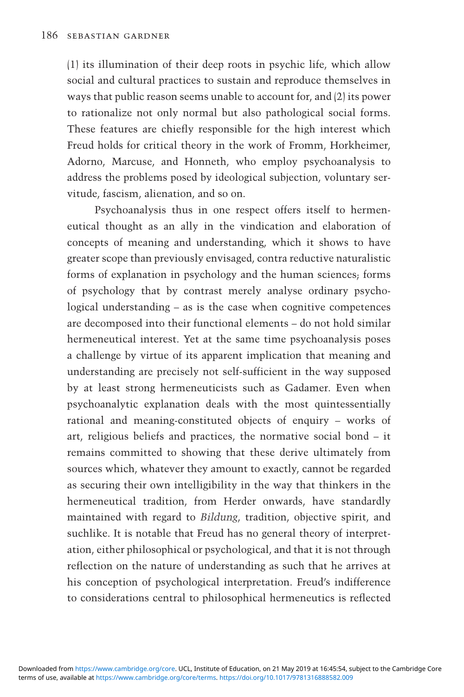$(1)$  its illumination of their deep roots in psychic life, which allow social and cultural practices to sustain and reproduce themselves in ways that public reason seems unable to account for, and (2) its power to rationalize not only normal but also pathological social forms. These features are chiefly responsible for the high interest which Freud holds for critical theory in the work of Fromm, Horkheimer, Adorno, Marcuse, and Honneth, who employ psychoanalysis to address the problems posed by ideological subjection, voluntary servitude, fascism, alienation, and so on.

Psychoanalysis thus in one respect offers itself to hermeneutical thought as an ally in the vindication and elaboration of concepts of meaning and understanding, which it shows to have greater scope than previously envisaged, contra reductive naturalistic forms of explanation in psychology and the human sciences; forms of psychology that by contrast merely analyse ordinary psychological understanding  $-$  as is the case when cognitive competences are decomposed into their functional elements – do not hold similar hermeneutical interest. Yet at the same time psychoanalysis poses a challenge by virtue of its apparent implication that meaning and understanding are precisely not self-sufficient in the way supposed by at least strong hermeneuticists such as Gadamer. Even when psychoanalytic explanation deals with the most quintessentially rational and meaning-constituted objects of enquiry – works of art, religious beliefs and practices, the normative social bond  $-$  it remains committed to showing that these derive ultimately from sources which, whatever they amount to exactly, cannot be regarded as securing their own intelligibility in the way that thinkers in the hermeneutical tradition, from Herder onwards, have standardly maintained with regard to *Bildung*, tradition, objective spirit, and suchlike. It is notable that Freud has no general theory of interpretation, either philosophical or psychological, and that it is not through reflection on the nature of understanding as such that he arrives at his conception of psychological interpretation. Freud's indifference to considerations central to philosophical hermeneutics is reflected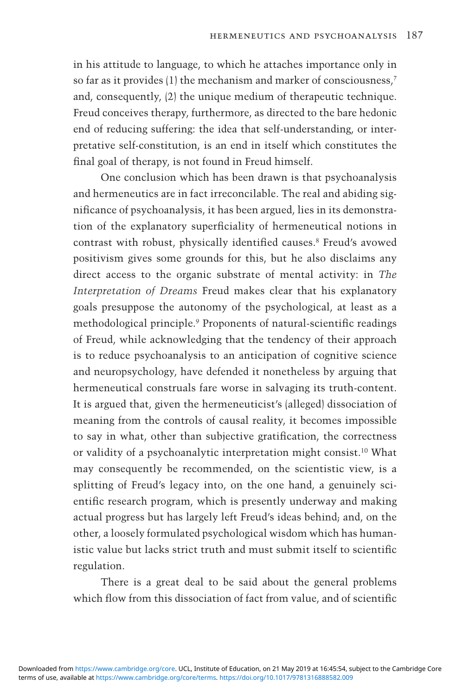in his attitude to language, to which he attaches importance only in so far as it provides (1) the mechanism and marker of consciousness, 7 and, consequently, (2) the unique medium of therapeutic technique. Freud conceives therapy, furthermore, as directed to the bare hedonic end of reducing suffering: the idea that self-understanding, or interpretative self- constitution, is an end in itself which constitutes the final goal of therapy, is not found in Freud himself.

One conclusion which has been drawn is that psychoanalysis and hermeneutics are in fact irreconcilable. The real and abiding significance of psychoanalysis, it has been argued, lies in its demonstration of the explanatory superficiality of hermeneutical notions in contrast with robust, physically identified causes.<sup>8</sup> Freud's avowed positivismgives some grounds for this, but he also disclaims any direct access to the organic substrate of mental activity: in *The Interpretation of Dreams* Freud makes clear that his explanatory goals presuppose the autonomy of the psychological, at least as a methodological principle.<sup>9</sup> Proponents of natural-scientific readings of Freud, while acknowledging that the tendency of their approach is to reduce psychoanalysis to an anticipation of cognitive science and neuropsychology, have defended it nonetheless by arguing that hermeneutical construals fare worse in salvaging its truth-content. It is argued that, given the hermeneuticist's (alleged) dissociation of meaning from the controls of causal reality, it becomes impossible to say in what, other than subjective gratification, the correctness or validity of a psychoanalytic interpretation might consist.<sup>10</sup> What may consequently be recommended, on the scientistic view, is a splitting of Freud's legacy into, on the one hand, a genuinely scientific research program, which is presently underway and making actual progress but has largely left Freud 's ideas behind; and, on the other, a loosely formulated psychologicalwisdom which has humanistic value but lacks strict truth and must submit itself to scientific regulation.

There is a great deal to be said about the general problems which flow from this dissociation of fact from value, and of scientific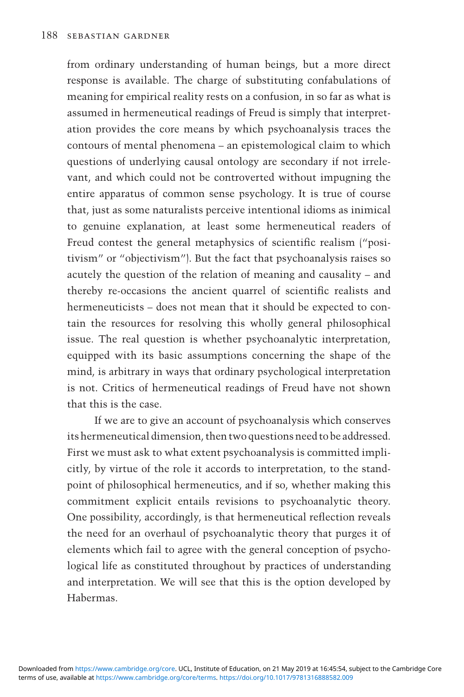from ordinary understanding of human beings, but a more direct response is available. The charge of substituting confabulations of meaning for empirical reality rests on a confusion, in so far as what is assumed in hermeneutical readings of Freudis simply that interpretation provides the core means by which psychoanalysistraces the contours of mental phenomena – an epistemological claim to which questions of underlying causal ontologyare secondary if not irrelevant, and which could not be controverted without impugning the entire apparatus of common sense psychology. It is true of course that, just as some naturalists perceive intentional idioms as inimical to genuine explanation, at least some hermeneutical readers of Freud contest the general metaphysics of scientific realism ("positivism " or "objectivism"). But the fact that psychoanalysis raises so acutely the question of the relation of meaning and causality – and thereby re-occasions the ancient quarrel of scientific realists and hermeneuticists – does not mean that it should be expected to contain the resources for resolving this wholly general philosophical issue. The real question is whether psychoanalytic interpretation, equipped with its basic assumptions concerning the shape of the mind, is arbitrary in ways that ordinary psychological interpretation is not. Critics of hermeneutical readings of Freud have not shown that this is the case.

If we are to give an account of psychoanalysis which conserves its hermeneutical dimension, then two questions need to be addressed. First we must ask to what extent psychoanalysis is committed implicitly, by virtue of the role it accords to interpretation, to the standpoint of philosophical hermeneutics, and if so, whether making this commitment explicit entails revisions to psychoanalytic theory. One possibility, accordingly, is that hermeneutical reflection reveals the need for an overhaul of psychoanalytic theory that purges it of elements which fail to agree with the general conception of psychological life as constituted throughout by practices of understanding and interpretation. We will see that this is the option developed by Habermas .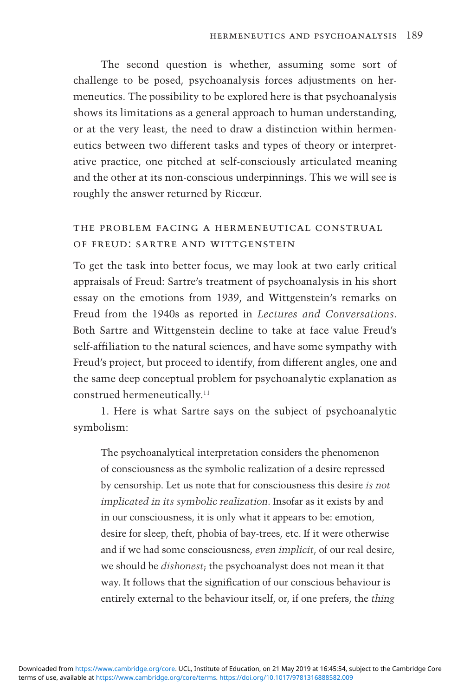The second question is whether, assuming some sort of challenge to be posed, psychoanalysis forces adjustments on hermeneutics. The possibility to be explored here is that psychoanalysis shows its limitations as a general approach to human understanding, or at the very least, the need to draw a distinction within hermeneutics between two different tasks and types of theory or interpretative practice, one pitched at self- consciously articulated meaning and the other at its non- conscious underpinnings. This we will see is roughly the answer returned by Ricœur.

## THE PROBLEM FACING A HERMENEUTICAL CONSTRUAL OF FREUD: SARTRE AND WITTGENSTEIN

To get the task into better focus, we may look at two early critical appraisals of Freud: Sartre's treatment of psychoanalysis in his short essay on the emotions from 1939, and Wittgenstein's remarks on Freud from the 1940s as reported in *Lectures and Conversations*. Both Sartre and Wittgenstein decline to take at face value Freud's self-affiliation to the natural sciences, and have some sympathy with Freud's project, but proceed to identify, from different angles, one and the same deep conceptual problem for psychoanalytic explanation as construed hermeneutically.<sup>11</sup>

1. Here is what Sartre says on the subject of psychoanalytic symbolism:

The psychoanalytical interpretation considers the phenomenon of consciousness as the symbolic realization of a desire repressed by censorship. Let us note that for consciousness this desire *is not implicated in its symbolic realization*. Insofar as it exists by and in our consciousness, it is only what it appears to be: emotion, desire for sleep, theft, phobia of bay- trees, etc. If it were otherwise and if we had some consciousness, *even implicit*, of our real desire, we should be *dishonest*; the psychoanalyst does not mean it that way. It follows that the signification of our conscious behaviour is entirely external to the behaviour itself, or, if one prefers, the *thing*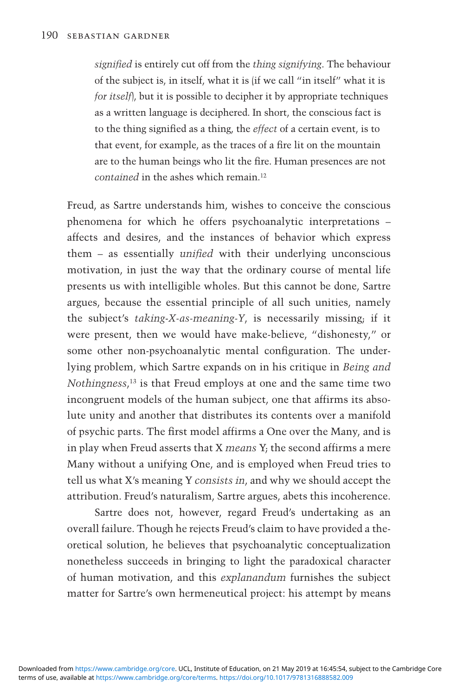*signified* is entirely cut off from the *thing signifying*. The behaviour of the subject is, in itself, what it is (if we call "in itself" what it is *for itself*), but it is possible to decipher it by appropriate techniques as a written language is deciphered. In short, the conscious fact is to the thing signified as a thing, the *effect* of a certain event, is to that event, for example, as the traces of a fire lit on the mountain are to the human beings who lit the fire. Human presences are not *contained* in the ashes which remain.<sup>12</sup>

Freud, as Sartre understands him, wishes to conceive the conscious phenomena for which he offers psychoanalytic interpretations – affects and desires, and the instances of behavior which express them – as essentially *unified* with their underlying unconscious motivation, in just the way that the ordinary course of mental life presents us with intelligible wholes. But this cannot be done, Sartre argues, because the essential principle of all such unities, namely the subject's *taking-X-as-meaning-Y*, is necessarily missing; if it were present, then we would have make-believe, "dishonesty," or some other non-psychoanalytic mental configuration. The underlying problem, which Sartre expands on in his critique in *Being and Nothingness*<sup>13</sup> is that Freud employs at one and the same time two incongruent models of the human subject, one that affirms its absolute unity and another that distributes its contents over a manifold of psychic parts. The first model affirms a One over the Many, and is in play when Freud asserts that X *means* Y; the second affirms a mere Many without a unifying One, and is employed when Freud tries to tell us what X's meaningY *consists in*, and why we should accept the attribution. Freud's naturalism, Sartre argues, abets this incoherence.

Sartre does not, however, regard Freud's undertaking as an overall failure. Though he rejects Freud 's claim to have provided a theoretical solution, he believes that psychoanalytic conceptualization nonetheless succeeds in bringing to light the paradoxical character of human motivation, and this *explanandum* furnishes the subject matter for Sartre's own hermeneutical project: his attempt by means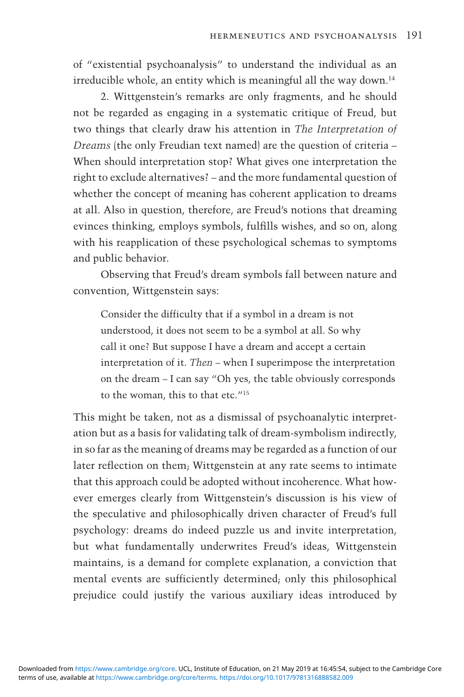of "existential psychoanalysis" to understand the individual as an irreducible whole, an entity which is meaningful all the way down. 14

2. Wittgenstein 's remarks are only fragments, and he should not be regarded as engaging in a systematic critique of Freud, but two things that clearly draw his attention in *The Interpretation of Dreams* (the only Freudian text named) are the question of criteria – When should interpretation stop? What gives one interpretation the right to exclude alternatives? – and the more fundamental question of whether the concept of meaning has coherent application to dreams at all. Also in question, therefore, are Freud 's notions that dreaming evinces thinking, employs symbols, fulfills wishes, and so on, along with his reapplication of these psychological schemas to symptoms and public behavior.

Observing that Freud's dream symbols fall between nature and convention, Wittgenstein says:

Consider the difficulty that if a symbol in a dream is not understood, it does not seem to be a symbol at all. So why call it one? But suppose I have a dream and accept a certain interpretation of it. *Then* –when I superimpose the interpretation on the dream –I can say "Oh yes, the table obviously corresponds to the woman, this to that etc." 15

This might be taken, not as a dismissal of psychoanalytic interpretation but as a basis for validating talk of dream- symbolism indirectly, in so far as the meaning of dreams may be regarded as a function of our later reflection on them; Wittgenstein at any rate seems to intimate that this approach could be adopted without incoherence. What however emerges clearly from Wittgenstein's discussion is his view of the speculative and philosophically driven character of Freud's full psychology: dreams do indeed puzzle us and invite interpretation, but what fundamentally underwrites Freud's ideas, Wittgenstein maintains, is a demand for complete explanation, a conviction that mental events are sufficiently determined; only this philosophical prejudice could justify the various auxiliary ideas introduced by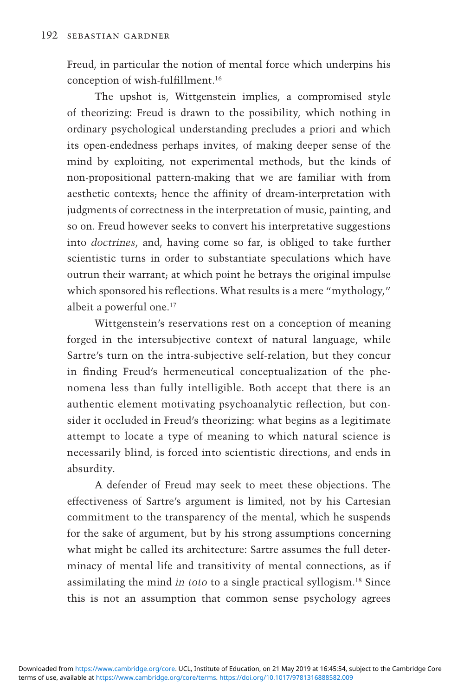Freud, in particular the notion of mental force which underpins his conception of wish-fulfillment.<sup>16</sup>

The upshot is, Wittgenstein implies, a compromised style of theorizing: Freudis drawn to the possibility, which nothing in ordinary psychological understanding precludes a priori and which its open- endedness perhaps invites, of making deeper sense of the mind by exploiting, not experimental methods, but the kinds of non- propositional pattern- making that we are familiar with from aesthetic contexts; hence the affinity of dream- interpretation with judgments of correctness in the interpretation of music, painting, and so on. Freud however seeks to convert his interpretative suggestions into *doctrines*, and, having come so far, is obliged to take further scientistic turns in order to substantiate speculations which have outrun their warrant; at which point he betrays the originalimpulse which sponsored his reflections. What results is a mere "mythology," albeit a powerful one.<sup>17</sup>

Wittgenstein's reservations rest on a conception of meaning forged in the intersubjective context of natural language, while Sartre's turn on the intra-subjective self-relation, but they concur in finding Freud's hermeneutical conceptualization of the phenomena less than fully intelligible. Both accept that there is an authentic element motivating psychoanalytic reflection, but consider it occluded in Freud's theorizing: what begins as a legitimate attempt to locate a type of meaning to which natural science is necessarily blind, is forced into scientistic directions, and ends in absurdity.

A defender of Freudmay seek to meet these objections. The effectiveness of Sartre 's argument is limited, not by his Cartesian commitment to the transparency of the mental, which he suspends for the sake of argument, but by his strong assumptions concerning what might be called its architecture: Sartre assumes the full determinacy of mental life and transitivity of mental connections, as if assimilating the mind *in toto* to a single practical syllogism. 18 Since this is not an assumption that common sense psychology agrees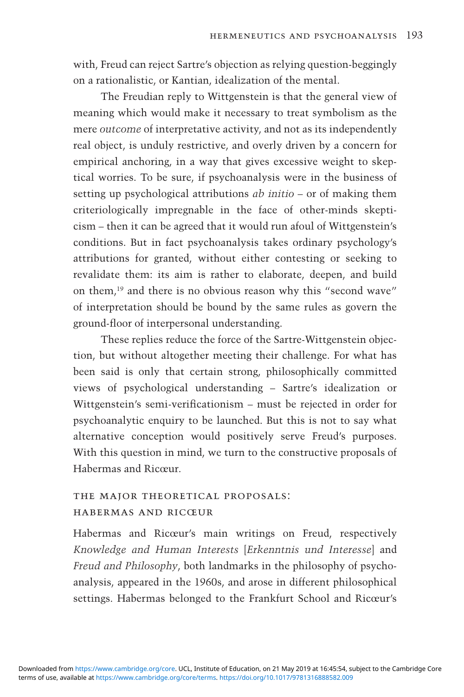with, Freud can reject Sartre's objection as relying question-beggingly on a rationalistic, or Kantian, idealization of the mental.

The Freudian reply to Wittgenstein is that the general view of meaning which would make it necessary to treat symbolism as the mere *outcome* of interpretative activity, and not as its independently real object, is unduly restrictive, and overly driven by a concern for empirical anchoring, in a way that gives excessive weight to skeptical worries. To be sure, if psychoanalysiswere in the business of setting up psychological attributions *ab initio* – or of making them criteriologically impregnable in the face of other-minds skepticism – then it can be agreed that it would run afoul of Wittgenstein's conditions. But in fact psychoanalysis takes ordinary psychology's attributions for granted, without either contesting or seeking to revalidate them: its aim is rather to elaborate, deepen, and build on them, 19 and there is no obvious reason why this "second wave" of interpretation should be bound by the same rules as govern the ground-floor of interpersonal understanding.

These replies reduce the force of the Sartre-Wittgenstein objection, but without altogether meeting their challenge. For what has been said is only that certain strong, philosophically committed views of psychological understanding – Sartre's idealization or Wittgenstein's semi-verificationism – must be rejected in order for psychoanalytic enquiry to be launched. But this is not to say what alternative conception would positively serve Freud's purposes. With this question in mind, we turn to the constructive proposals of Habermas and Ricœur.

### THE MAJOR THEORETICAL PROPOSALS: HABERMAS AND RICŒUR

Habermas and Ricœur's main writings on Freud, respectively *Knowledge and Human Interests* [ *Erkenntnis und Interesse*] and *Freudand Philosophy*, both landmarks in the philosophy of psychoanalysis, appeared in the 1960s, and arose in different philosophical settings. Habermas belonged to the Frankfurt School and Ricœur's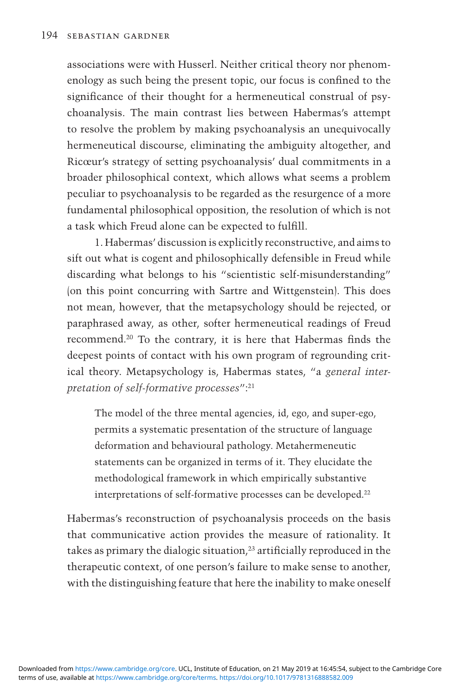associations were with Husserl. Neither critical theory nor phenomenology as such being the present topic, our focus is confined to the significance of their thought for a hermeneutical construal of psychoanalysis. The main contrast lies between Habermas's attempt to resolve the problem by making psychoanalysis an unequivocally hermeneutical discourse, eliminating the ambiguity altogether, and Ricœur's strategy of setting psychoanalysis' dual commitments in a broader philosophical context, which allows what seems a problem peculiar to psychoanalysis to be regarded as the resurgence of a more fundamental philosophical opposition, the resolution of which is not a task which Freud alone can be expected to fulfill.

1. Habermas ' discussion is explicitly reconstructive, and aims to sift out what is cogent and philosophically defensible in Freud while discarding what belongs to his "scientistic self-misunderstanding" (on this point concurring with Sartre and Wittgenstein). This does not mean, however, that the metapsychology should be rejected, or paraphrased away, as other, softer hermeneutical readings of Freud recommend.<sup>20</sup> To the contrary, it is here that Habermas finds the deepest points of contact with his own program of regrounding critical theory. Metapsychology is, Habermas states, "a *general interpretation of self- formative processes*": 21

The model of the three mental agencies, id, ego, and super-ego, permits a systematic presentation of the structure of language deformation and behavioural pathology. Metahermeneutic statements can be organized in terms of it. They elucidate the methodological framework in which empirically substantive interpretations of self-formative processes can be developed.<sup>22</sup>

Habermas's reconstruction of psychoanalysis proceeds on the basis that communicative action provides the measure of rationality. It takes as primary the dialogic situation, $23$  artificially reproduced in the therapeutic context, of one person's failure to make sense to another, with the distinguishing feature that here the inability to make oneself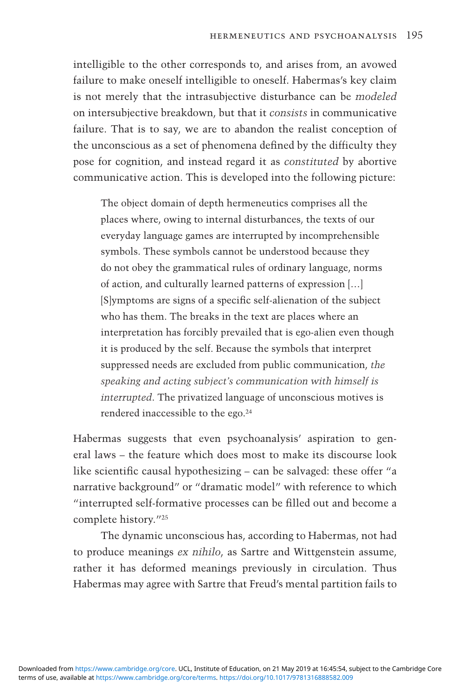intelligible to the other corresponds to, and arises from, an avowed failure to make oneself intelligible to oneself. Habermas 's key claim is not merely that the intrasubjective disturbance can be *modeled* on intersubjective breakdown, but that it *consists* in communicative failure. That is to say, we are to abandon the realist conception of the unconscious as a set of phenomena defined by the difficulty they pose for cognition, and instead regard it as *constituted* by abortive communicative action. This is developed into the following picture:

The object domain of depth hermeneutics comprises all the places where, owing to internal disturbances, the texts of our everyday language games are interrupted by incomprehensible symbols. These symbols cannot be understood because they do not obey the grammatical rules of ordinary language, norms of action, and culturally learned patterns of expression[…] [S] ymptoms are signs of a specific self-alienation of the subject who has them. The breaks in the text are places where an interpretation has forcibly prevailed that is ego-alien even though it is produced by the self. Because the symbols that interpret suppressed needs are excluded from public communication, *the speaking and acting subject's communication with himself is interrupted*. The privatized language of unconscious motives is rendered inaccessible to the ego. 24

Habermas suggests that even psychoanalysis' aspiration to general laws - the feature which does most to make its discourse look like scientific causal hypothesizing – can be salvaged: these offer "a narrative background" or "dramatic model" with reference to which "interrupted self-formative processes can be filled out and become a complete history."<sup>25</sup>

The dynamic unconscious has, according to Habermas, not had to produce meanings *ex nihilo*, as Sartre and Wittgenstein assume, rather it has deformed meanings previously in circulation. Thus Habermas may agree with Sartre that Freud's mental partition fails to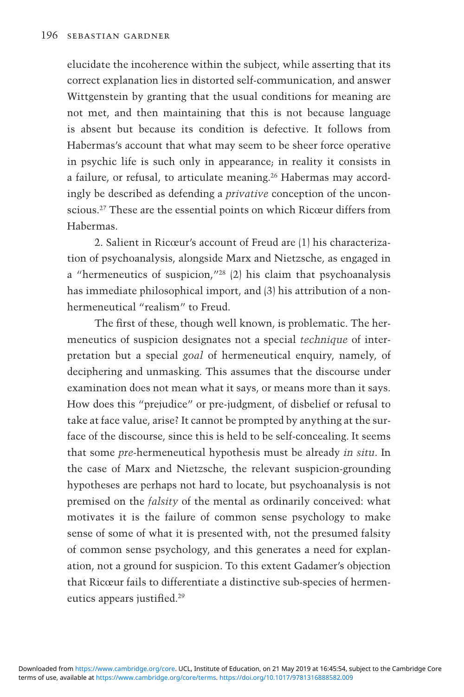elucidate the incoherence within the subject, while asserting that its correct explanation lies in distorted self- communication, and answer Wittgenstein by granting that the usual conditions for meaning are not met, and then maintaining that this is not because language is absent but because its condition is defective. It follows from Habermas's account that what may seem to be sheer force operative in psychic life is such only in appearance; in reality it consists in a failure, or refusal, to articulate meaning.<sup>26</sup> Habermas may accordingly be described as defending a *privative* conception of the unconscious.<sup>27</sup> These are the essential points on which Ricœur differs from Habermas .

2. Salient in Ricœur's account of Freud are (1) his characterization of psychoanalysis, alongside Marx and Nietzsche, as engaged in a "hermeneutics of suspicion," $^{28}$  (2) his claim that psychoanalysis has immediate philosophical import, and (3) his attribution of a nonhermeneutical "realism" to Freud.

The first of these, though well known, is problematic. The hermeneutics of suspicion designates not a special *technique* of interpretation but a special *goal* of hermeneutical enquiry, namely, of deciphering and unmasking. This assumes that the discourse under examination does not mean what it says, or means more than it says. How does this "prejudice" or pre-judgment, of disbelief or refusal to take at face value, arise? It cannot be prompted by anything at the surface of the discourse, since this is held to be self-concealing. It seems that some *pre*- hermeneutical hypothesis must be already *in situ*. In the case of Marx and Nietzsche, the relevant suspicion-grounding hypotheses are perhaps not hard to locate, but psychoanalysis is not premised on the *falsity* of the mental as ordinarily conceived: what motivates it is the failure of common sense psychology to make sense of some of what it is presented with, not the presumed falsity of common sense psychology, and this generates a need for explanation, not a ground for suspicion. To this extent Gadamer's objection that Ricœur fails to differentiate a distinctive sub-species of hermeneutics appears justified.<sup>29</sup>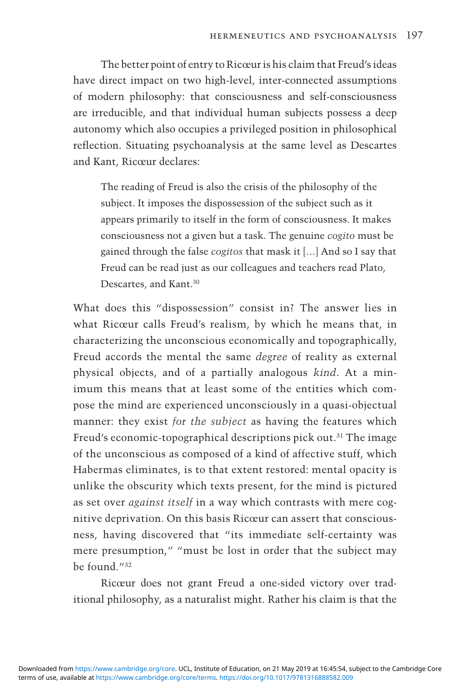The better point of entry to Ricœur is his claim that Freud 's ideas have direct impact on two high-level, inter-connected assumptions of modern philosophy: that consciousness and self- consciousness are irreducible, and that individual human subjects possess a deep autonomy which also occupies a privileged position in philosophical reflection. Situating psychoanalysis at the same level as Descartes and Kant, Ricœur declares:

The reading of Freud is also the crisis of the philosophy of the subject. It imposes the dispossession of the subject such as it appears primarily to itself in the form of consciousness. It makes consciousness not a given but a task. The genuine *cogito* must be gained through the false *cogitos* that mask it […] And so I say that Freud can be read just as our colleagues and teachers read Plato, Descartes, and Kant.<sup>30</sup>

What does this "dispossession" consist in? The answer lies in what Ricœur calls Freud's realism, by which he means that, in characterizing the unconsciouseconomically and topographically, Freud accords the mental the same *degree* of reality as external physical objects, and of a partially analogous *kind*. At a minimum this means that at least some of the entities which compose the mind are experienced unconsciously in a quasi-objectual manner: they exist *for the subject* as having the features which Freud's economic-topographical descriptions pick out.<sup>31</sup> The image of the unconscious as composed of a kind of affective stuff, which Habermas eliminates, is to that extent restored: mental opacity is unlike the obscurity which texts present, for the mind is pictured as set over *against itself* in a way which contrasts with mere cognitive deprivation. On this basis Ricœurcan assert that consciousness, having discovered that "its immediate self-certainty was mere presumption," "must be lost in order that the subject may be found."<sup>32</sup>

Ricœur does not grant Freud a one-sided victory over traditional philosophy, as a naturalist might. Rather his claim is that the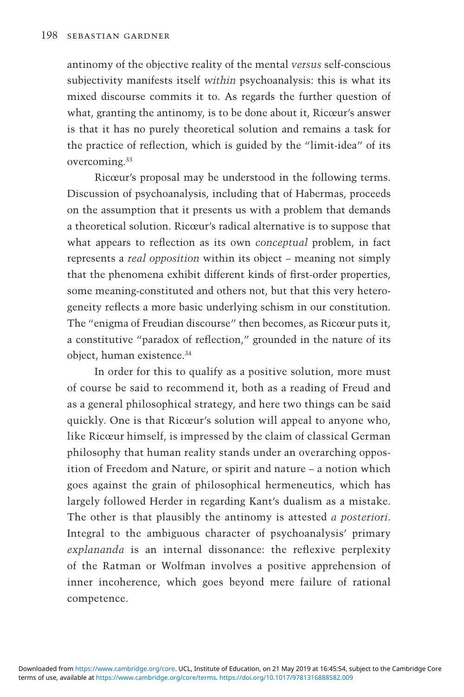antinomy of the objective reality of the mental *versus* self- conscious subjectivity manifests itself *within* psychoanalysis: this is what its mixed discourse commits it to. As regards the further question of what, granting the antinomy, is to be done about it, Ricœur's answer is that it has no purely theoretical solution and remains a task for the practice of reflection, which is guided by the "limit-idea" of its overcoming. 33

Ricœur's proposal may be understood in the following terms. Discussion of psychoanalysis, including that of Habermas, proceeds on the assumption that it presents us with a problem that demands a theoretical solution. Ricœur's radical alternative is to suppose that what appears to reflection as its own *conceptual* problem, in fact represents a *real opposition* within its object – meaning not simply that the phenomena exhibit different kinds of first-order properties, some meaning-constituted and others not, but that this very heterogeneity reflects a more basic underlying schism in our constitution. The "enigma of Freudian discourse" then becomes, as Ricœur puts it, a constitutive "paradox of reflection," grounded in the nature of its object, human existence. 34

In order for this to qualify as a positive solution, more must of course be said to recommend it, both as a reading of Freudand as a general philosophical strategy, and here two things can be said quickly. One is that Ricœur's solution will appeal to anyone who, like Ricœur himself, is impressed by the claim of classical German philosophy that human reality stands under an overarching opposition of Freedom and Nature, or spirit and nature - a notion which goes against the grain of philosophical hermeneutics, which has largely followed Herder in regarding Kant's dualism as a mistake. The other is that plausibly the antinomy is attested *a posteriori*. Integral to the ambiguous character of psychoanalysis' primary *explananda* is an internal dissonance: the reflexive perplexity of the Ratman or Wolfman involves a positive apprehension of inner incoherence, which goes beyond mere failure of rational competence.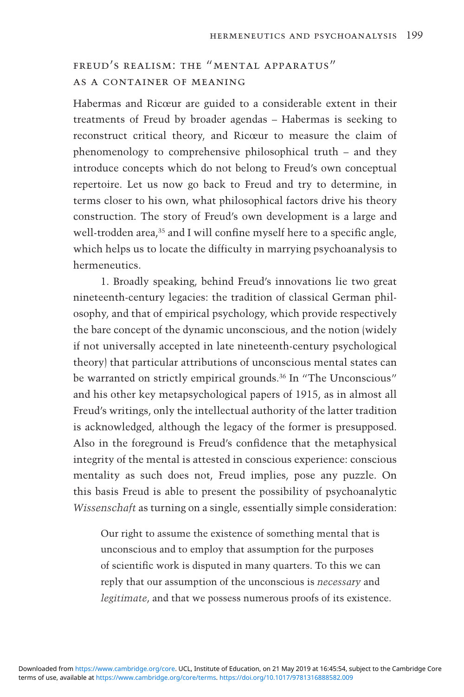# FREUD'S REALISM: THE "MENTAL APPARATUS" AS A CONTAINER OF MEANING

Habermas and Ricœur are guided to a considerable extent in their treatments of Freud by broader agendas – Habermas is seeking to reconstruct critical theory, and Ricœur to measure the claim of phenomenology to comprehensive philosophical truth  $-$  and they introduce concepts which do not belong to Freud's own conceptual repertoire. Let us now go back to Freud and try to determine, in terms closer to his own, what philosophical factors drive his theory construction. The story of Freud's own development is a large and well-trodden area, $35$  and I will confine myself here to a specific angle, which helps us to locate the difficulty in marrying psychoanalysis to hermeneutics.

1. Broadly speaking, behind Freud's innovations lie two great nineteenth- century legacies: the tradition of classical German philosophy, and that of empirical psychology, which provide respectively the bare concept of the dynamic unconscious, and the notion (widely if not universally accepted in late nineteenth- century psychological theory) that particular attributions of unconscious mental states can be warranted on strictly empirical grounds.<sup>36</sup> In "The Unconscious" and his other key metapsychological papers of 1915, as in almost all Freud's writings, only the intellectual authority of the latter tradition is acknowledged, although the legacy of the former is presupposed. Also in the foreground is Freud's confidence that the metaphysical integrity of the mental is attested in conscious experience: conscious mentality as such does not, Freudimplies, pose any puzzle. On this basis Freud is able to present the possibility of psychoanalytic *Wissenschaft* as turning on a single, essentially simple consideration:

Our right to assume the existence of something mental that is unconscious and to employ that assumption for the purposes of scientific work is disputed in many quarters. To this we can reply that our assumption of the unconscious is *necessary* and *legitimate*, and that we possess numerous proofs of its existence.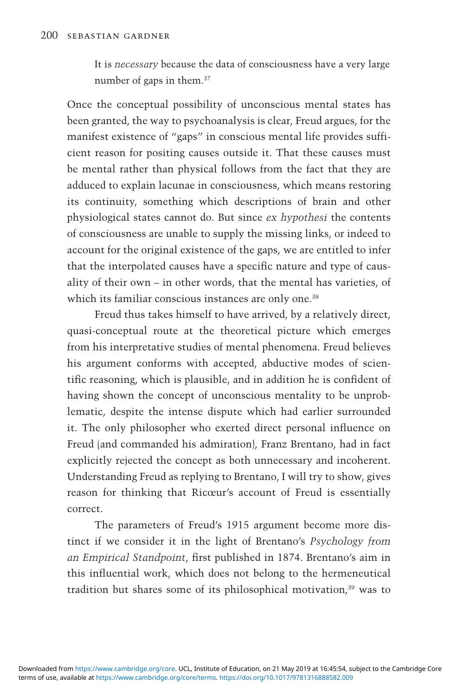It is *necessary* because the data of consciousness have a very large number of gaps in them.<sup>37</sup>

Once the conceptual possibility of unconscious mental states has been granted, the way to psychoanalysis is clear, Freud argues, for the manifest existence of "gaps" in conscious mental life provides sufficient reason for positing causes outside it. That these causes must be mental rather than physical follows from the fact that they are adduced to explain lacunae in consciousness, which means restoring its continuity, something which descriptions of brain and other physiological states cannot do. But since *ex hypothesi* the contents of consciousnessare unable to supply the missing links, or indeed to account for the original existence of the gaps, we are entitled to infer that the interpolated causes have a specific nature and type of causalityof their own –in other words, that the mental has varieties, of which its familiar conscious instances are only one.<sup>38</sup>

Freud thus takes himself to have arrived, by a relatively direct, quasi- conceptual route at the theoretical picture which emerges from his interpretative studies of mental phenomena. Freud believes his argument conforms with accepted, abductive modes of scientific reasoning, which is plausible, and in addition he is confident of having shown the concept of unconscious mentality to be unproblematic, despite the intense dispute which had earlier surrounded it. The only philosopher who exerted direct personal influence on Freud (and commanded his admiration), Franz Brentano, had in fact explicitly rejected the concept as both unnecessary and incoherent. Understanding Freud as replying to Brentano, I will try to show, gives reason for thinking that Ricœur's account of Freud is essentially correct.

The parameters of Freud's 1915 argument become more distinct if we consider it in the light of Brentano 's *Psychology from*  an Empirical Standpoint, first published in 1874. Brentano's aim in this influential work, which does not belong to the hermeneutical tradition but shares some of its philosophical motivation, 39 was to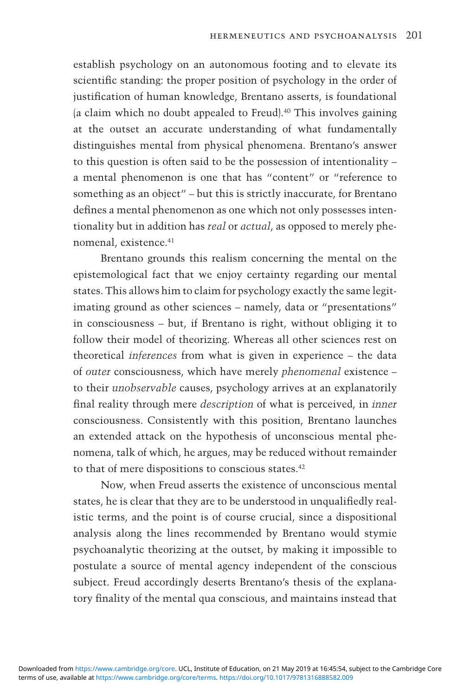establish psychology on an autonomous footing and to elevate its scientific standing: the proper position of psychology in the order of justification of human knowledge, Brentano asserts, is foundational (a claim which no doubt appealed to Freud). $40$  This involves gaining at the outset an accurate understanding of what fundamentally distinguishes mental from physical phenomena. Brentano's answer to this question is often said to be the possession of intentionality – a mental phenomenon is one that has "content" or "reference to something as an object" – but this is strictly inaccurate, for Brentano defines a mental phenomenon as one which not only possesses intentionality but in addition has *real* or *actual*, as opposed to merely phenomenal, existence. 41

Brentano grounds this realism concerning the mental on the epistemological fact that we enjoy certainty regarding our mental states. This allows him to claim for psychologyexactly the same legitimating ground as other sciences – namely, data or "presentations" in consciousness  $-$  but, if Brentano is right, without obliging it to follow their model of theorizing. Whereas all other sciences rest on theoretical *inferences* from what is given in experience - the data of *outer* consciousness, which have merely *phenomenal* existence – to their *unobservable* causes, psychologyarrives at an explanatorily final reality through mere *description* of what is perceived, in *inner* consciousness. Consistently with this position, Brentano launches an extended attack on the hypothesis of unconscious mental phenomena, talk of which, he argues, may be reduced without remainder to that of mere dispositions to conscious states. 42

Now, when Freud asserts the existence of unconscious mental states, he is clear that they are to be understood in unqualifiedly realistic terms, and the point is of course crucial, since a dispositional analysis along the lines recommended by Brentano would stymie psychoanalytic theorizing at the outset, by making it impossible to postulate a source of mental agency independent of the conscious subject. Freud accordingly deserts Brentano's thesis of the explanatory finality of the mental qua conscious, and maintains instead that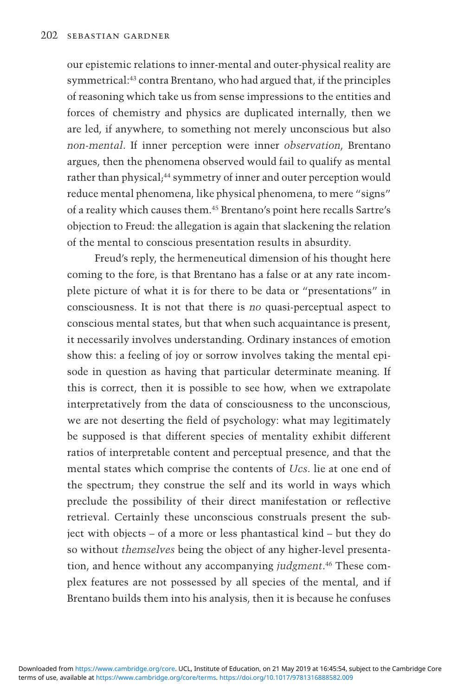our epistemic relations to inner- mental and outer- physical reality are symmetrical:<sup>43</sup> contra Brentano, who had argued that, if the principles of reasoningwhich take us from sense impressions to the entities and forces of chemistry and physics are duplicated internally, then we are led, if anywhere, to something not merely unconscious but also *non- mental*. If inner perception were inner *observation*, Brentano argues, then the phenomena observed would fail to qualify as mental rather than physical;<sup>44</sup> symmetry of inner and outer perception would reduce mental phenomena, like physical phenomena, to mere "signs" of a reality which causes them. 45 Brentano 's point here recalls Sartre 's objection to Freud: the allegation is again that slackening the relation of the mental to conscious presentation results in absurdity.

Freud's reply, the hermeneutical dimension of his thought here coming to the fore, is that Brentano has a false or at any rate incomplete picture of what it is for there to be data or "presentations" in consciousness. It is not that there is *no* quasi- perceptual aspect to conscious mental states, but that when such acquaintance is present, it necessarily involves understanding. Ordinary instances of emotion show this: a feeling of joy or sorrow involves taking the mental episode in question as having that particular determinate meaning . If this is correct, then it is possible to see how, when we extrapolate interpretatively from the data of consciousness to the unconscious, we are not deserting the field of psychology: what may legitimately be supposed is that different species of mentality exhibit different ratios of interpretable content and perceptual presence, and that the mental states which comprise the contents of *Ucs*. lie at one end of the spectrum; they construe the self and its world in ways which preclude the possibility of their direct manifestation or reflective retrieval. Certainly these unconscious construals present the subject with objects – of a more or less phantastical kind – but they do so without *themselves* being the object of any higher- level presentation, and hence without any accompanying *judgment*. 46 These complex features are not possessed by all species of the mental, and if Brentano builds them into his analysis, then it is because he confuses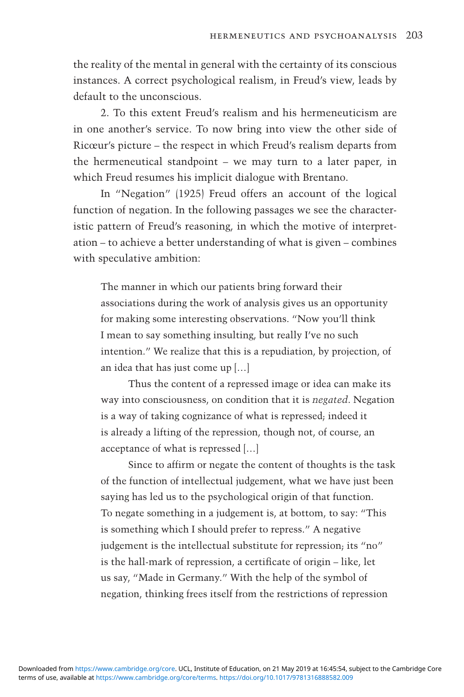the reality of the mental in general with the certaintyof its conscious instances. A correct psychological realism, in Freud's view, leads by default to the unconscious.

2. To this extent Freud's realism and his hermeneuticism are in one another's service. To now bring into view the other side of Ricœur's picture – the respect in which Freud's realism departs from the hermeneutical standpoint  $-$  we may turn to a later paper, in which Freud resumes his implicit dialogue with Brentano.

In "Negation" (1925) Freud offers an account of the logical function of negation. In the following passages we see the characteristic pattern of Freud's reasoning, in which the motive of interpretation –to achieve a better understanding of what is given –combines with speculative ambition:

The manner in which our patients bring forward their associations during the work of analysis gives us an opportunity for making some interesting observations. "Now you'll think I mean to say something insulting, but really I've no such intention." We realize that this is a repudiation, by projection, of an idea that has just come up […]

Thus the content of a repressed image or ideacan make its way into consciousness , on condition that it is *negated*. Negation is a way of taking cognizance of what is repressed; indeed it is already a lifting of the repression, though not, of course, an acceptance of what is repressed […]

Since to affirm or negate the content of thoughts is the task of the function of intellectual judgement, what we have just been saying has led us to the psychological origin of that function. To negate something in a judgement is, at bottom, to say: "This is something which I should prefer to repress." A negative judgement is the intellectual substitute for repression; its "no" is the hall-mark of repression, a certificate of origin – like, let us say, "Made in Germany." With the help of the symbol of negation, thinking frees itself from the restrictions of repression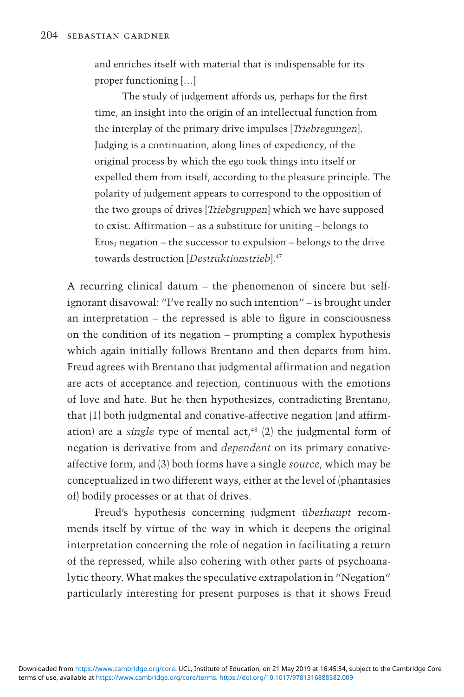and enriches itself with material that is indispensable for its proper functioning […]

The study of judgement affords us, perhaps for the first time, an insight into the origin of an intellectual function from the interplay of the primary drive impulses [ *Triebregungen*]. Judging is a continuation, along lines of expediency, of the original process by which the ego took things into itself or expelled them from itself, according to the pleasure principle. The polarity of judgement appears to correspond to the opposition of the two groups of drives [ *Triebgruppen*] which we have supposed to exist. Affirmation  $-$  as a substitute for uniting  $-$  belongs to Eros; negation – the successor to expulsion – belongs to the drive towards destruction[ *Destruktionstrieb*]. 47

A recurring clinical datum  $-$  the phenomenon of sincere but selfignorant disavowal: "I've really no such intention" – is brought under an interpretation  $-$  the repressed is able to figure in consciousness on the condition of its negation  $-$  prompting a complex hypothesis which again initially follows Brentano and then departs from him. Freud agrees with Brentano that judgmental affirmation and negation are acts of acceptance and rejection, continuous with the emotions of love and hate. But he then hypothesizes, contradicting Brentano , that (1) both judgmental and conative- affective negation (and affirmation) are a *single* type of mental act,<sup>48</sup> (2) the judgmental form of negation is derivative from and *dependent* on its primary conativeaffective form, and (3) both forms have a single *source*, which may be conceptualized in two different ways, either at the level of (phantasies of) bodily processes or at that of drives.

Freud's hypothesis concerning judgment *überhaupt* recommends itself by virtue of the way in which it deepens the original interpretation concerning the role of negation in facilitating a return of the repressed, while also cohering with other parts of psychoanalytic theory. What makes the speculative extrapolation in "Negation" particularly interesting for present purposes is that it shows Freud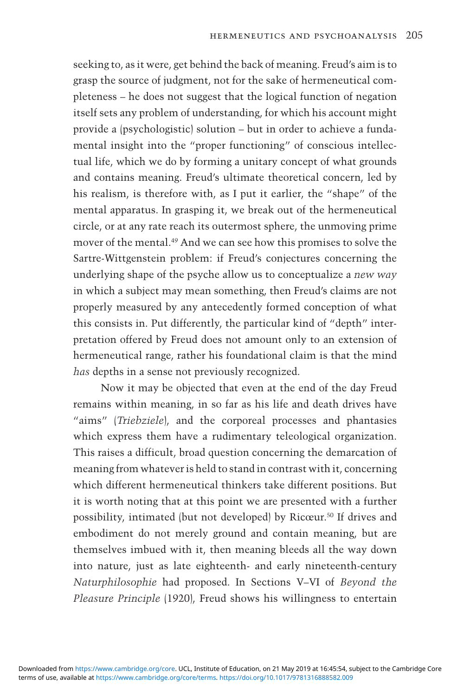seeking to, as it were, get behind the back of meaning . Freud 's aim is to grasp the source of judgment, not for the sake of hermeneutical completeness –he does not suggest that the logical function of negation itself sets any problem of understanding, for which his account might provide a (psychologistic) solution – but in order to achieve a fundamental insight into the "proper functioning" of conscious intellectual life, which we do by forming a unitary concept of what grounds and contains meaning. Freud's ultimate theoretical concern, led by his realism, is therefore with, as I put it earlier, the "shape" of the mental apparatus. In grasping it, we break out of the hermeneutical circle , or at any rate reach its outermost sphere, the unmoving prime mover of the mental. 49 And we can see how this promises to solve the Sartre-Wittgenstein problem: if Freud's conjectures concerning the underlying shape of the psyche allow us to conceptualize a *new way* in which a subject may mean something, then Freud 's claims are not properly measured by any antecedently formed conception of what this consists in. Put differently, the particular kind of "depth" interpretation offered by Freud does not amount only to an extension of hermeneutical range, rather his foundational claim is that the mind *has* depths in a sense not previously recognized.

Now it may be objected that even at the end of the day Freud remains within meaning, in so far as his lifeand death drives have "aims" ( *Triebziele*), and the corporeal processes and phantasies which express them have a rudimentary teleological organization. This raises a difficult, broad question concerning the demarcation of meaning from whatever is held to stand in contrast with it, concerning which different hermeneutical thinkers take different positions. But it is worth noting that at this point we are presented with a further possibility, intimated (but not developed) by Ricœur . 50 If drives and embodiment do not merely ground and contain meaning, but are themselves imbued with it, then meaning bleeds all the way down into nature, just as late eighteenth-and early nineteenth- century *Naturphilosophie* had proposed. In Sections V–VI of *Beyond the Pleasure Principle* (1920), Freud shows his willingness to entertain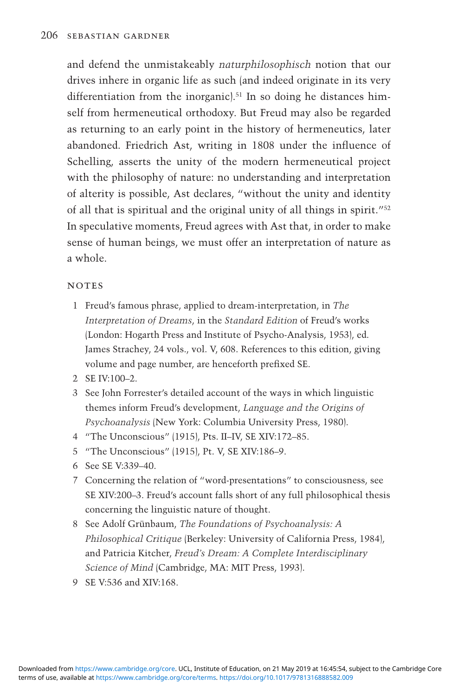and defend the unmistakeably *naturphilosophisch* notion that our drives inhere in organic lifeas such (and indeed originate in its very differentiation from the inorganic).<sup>51</sup> In so doing he distances himself from hermeneutical orthodoxy. But Freud may also be regarded as returning to an early point in the history of hermeneutics, later abandoned. Friedrich Ast, writing in 1808 under the influence of Schelling, asserts the unity of the modern hermeneutical project with the philosophy of nature: no understanding and interpretation of alterity is possible, Ast declares, "without the unity and identity of all that is spiritual and the original unity of all things in spirit."<sup>52</sup> In speculative moments, Freud agrees with Ast that, in order to make sense of human beings, we must offer an interpretation of nature as a whole.

#### **NOTES**

- 1 Freud 's famous phrase, applied to dream- interpretation, in *The Interpretation of Dreams*, in the *Standard Edition* of Freud 's works (London: Hogarth Press and Institute of Psycho- Analysis, 1953), ed. James Strachey, 24 vols., vol. V, 608. References to this edition, giving volume and page number, are henceforth prefixed SE.
- 2 SE IV:100-2.
- 3 See John Forrester's detailed account of the ways in which linguistic themes inform Freud 's development, *Language and the Origins of Psychoanalysis* (New York: Columbia University Press, 1980).
- 4 "The Unconscious" (1915), Pts. II–IV, SE XIV:172–85.
- 5 "The Unconscious" (1915), Pt. V, SE XIV:186-9.
- 6 See SE V:339-40.
- 7 Concerning the relation of "word- presentations" to consciousness, see SE XIV:200-3. Freud's account falls short of any full philosophical thesis concerning the linguistic nature of thought.
- 8 See Adolf Grünbaum, *The Foundations of Psychoanalysis: A Philosophical Critique* (Berkeley: University of California Press, 1984), and Patricia Kitcher, *Freud's Dream: A Complete Interdisciplinary Science of Mind* (Cambridge, MA: MIT Press, 1993).
- 9 SE V:536 and XIV:168.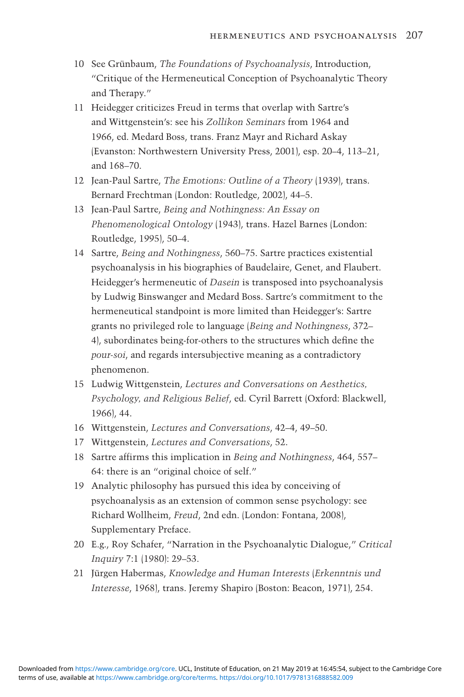- 10 See Grünbaum, *The Foundations of Psychoanalysis*, Introduction, "Critique of the Hermeneutical Conception of Psychoanalytic Theory and Therapy."
- 11 Heidegger criticizes Freud in terms that overlap with Sartre's and Wittgenstein's: see his *Zollikon Seminars* from 1964 and 1966, ed. Medard Boss, trans. Franz Mayr and Richard Askay (Evanston: Northwestern University Press, 2001), esp. 20-4, 113-21, and 168– 70.
- 12 Jean- Paul Sartre, *The Emotions: Outline of a Theory* (1939), trans. Bernard Frechtman (London: Routledge, 2002), 44-5.
- 13 Jean- Paul Sartre, *Being and Nothingness: An Essay on Phenomenological Ontology* (1943), trans. Hazel Barnes (London: Routledge, 1995), 50-4.
- 14 Sartre, *Being and Nothingness*, 560–75. Sartre practices existential psychoanalysis in his biographies of Baudelaire, Genet, and Flaubert. Heidegger 's hermeneutic of *Dasein* is transposed into psychoanalysis by Ludwig Binswanger and Medard Boss. Sartre's commitment to the hermeneutical standpoint is more limited than Heidegger's: Sartre grants no privileged role to language ( *Being and Nothingness*, 372– 4), subordinates being-for-others to the structures which define the *pour-soi*, and regards intersubjective meaning as a contradictory phenomenon.
- 15 Ludwig Wittgenstein, *Lectures and Conversations on Aesthetics, Psychology, and Religious Belief*, ed. Cyril Barrett (Oxford: Blackwell, 1966), 44.
- 16 Wittgenstein, *Lectures and Conversations*, 42–4, 49–50.
- 17 Wittgenstein, *Lectures and Conversations*, 52.
- 18 Sartre affirms this implication in *Being and Nothingness*, 464, 557– 64: there is an "original choice of self."
- 19 Analytic philosophy has pursued this idea by conceiving of psychoanalysis as an extension of common sense psychology: see Richard Wollheim, *Freud*, 2nd edn. (London: Fontana, 2008), Supplementary Preface.
- 20 E.g., Roy Schafer , "Narration in the Psychoanalytic Dialogue," *Critical Inquiry* 7:1 (1980): 29–53.
- 21 Jürgen Habermas, *Knowledge and Human Interests* ( *Erkenntnis und Interesse*, 1968), trans. Jeremy Shapiro (Boston: Beacon, 1971), 254.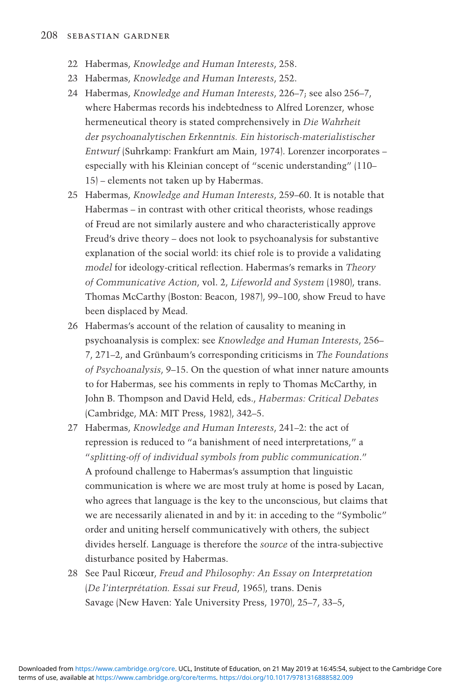- 22 Habermas, *Knowledge and Human Interests*, 258.
- 23 Habermas, *Knowledge and Human Interests*, 252.
- 24 Habermas, *Knowledge and Human Interests*, 226-7; see also 256-7, where Habermas records his indebtedness to Alfred Lorenzer, whose hermeneutical theory is stated comprehensively in *Die Wahrheit der psychoanalytischen Erkenntnis. Ein historisch- materialistischer Entwurf* (Suhrkamp: Frankfurt am Main, 1974). Lorenzer incorporates – especially with his Kleinian concept of "scenic understanding" (110– 15) – elements not taken up by Habermas.
- 25 Habermas, *Knowledge and Human Interests*, 259-60. It is notable that Habermas - in contrast with other critical theorists, whose readings of Freudare not similarly austere and who characteristically approve Freud's drive theory – does not look to psychoanalysis for substantive explanation of the social world: its chief role is to provide a validating *model* for ideology-critical reflection. Habermas's remarks in *Theory of Communicative Action*, vol. 2, *Lifeworld and System* (1980), trans. Thomas McCarthy (Boston: Beacon, 1987), 99-100, show Freud to have been displaced by Mead.
- 26 Habermas's account of the relation of causality to meaning in psychoanalysis is complex: see *Knowledge and Human Interests*, 256– 7, 271– 2, and Grünbaum's corresponding criticisms in *The Foundations*  of Psychoanalysis, 9-15. On the question of what inner nature amounts to for Habermas , see his comments in reply to Thomas McCarthy , in John B. Thompson and David Held, eds., *Habermas: Critical Debates* (Cambridge, MA: MIT Press, 1982), 342-5.
- 27 Habermas, *Knowledge and Human Interests*, 241-2: the act of repression is reduced to "a banishment of need interpretations," a " *splitting- off of individual symbolsfrom public communication*." A profound challenge to Habermas 's assumption that linguistic communication is where we are most truly at home is posed by Lacan, who agrees that language is the key to the unconscious, but claims that we are necessarily alienated in and by it: in acceding to the "Symbolic" order and uniting herself communicatively with others, the subject divides herself. Language is therefore the *source* of the intra- subjective disturbance posited by Habermas.
- 28 See Paul Ricœur, *Freud and Philosophy: An Essay on Interpretation* ( *De l'interprétation. Essai sur Freud*, 1965), trans. Denis Savage (New Haven: Yale University Press, 1970), 25-7, 33-5,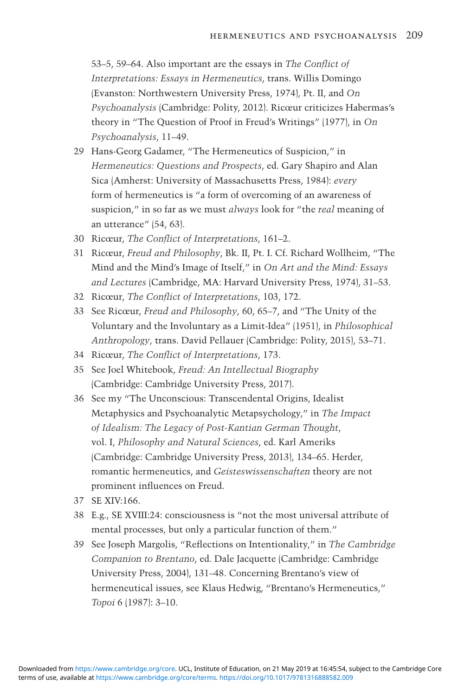53–5, 59–64. Also important are the essays in *The Conflict of Interpretations: Essays in Hermeneutics*, trans. Willis Domingo (Evanston: Northwestern University Press, 1974), Pt. II, and *On*  Psychoanalysis (Cambridge: Polity, 2012). Ricœur criticizes Habermas's theory in "The Question of Proof in Freud's Writings" (1977), in *On*  Psychoanalysis, 11-49.

- 29 Hans- Georg Gadamer, "The Hermeneutics of Suspicion," in *Hermeneutics: Questions and Prospects*, ed. Gary Shapiro and Alan Sica (Amherst: University of Massachusetts Press, 1984): *every* form of hermeneutics is "a form of overcoming of an awareness of suspicion," in so far as we must *always* look for "the *real* meaning of an utterance" (54, 63).
- 30 Ricœur, *The Conflict of Interpretations*, 161-2.
- 31 Ricœur, *Freud and Philosophy*, Bk. II, Pt. I. Cf. Richard Wollheim, "The Mind and the Mind's Image of Itself," in *On Art and the Mind: Essays*  and Lectures (Cambridge, MA: Harvard University Press, 1974), 31-53.
- 32 Ricœur, *The Conflict of Interpretations*, 103, 172.
- 33 See Ricœur, *Freud and Philosophy*, 60, 65– 7, and "The Unity of the Voluntary and the Involuntary as a Limit- Idea" (1951), in *Philosophical Anthropology*, trans. David Pellauer (Cambridge: Polity, 2015), 53-71.
- 34 Ricœur, *The Conflict of Interpretations*, 173.
- 35 See Joel Whitebook, *Freud: An Intellectual Biography* (Cambridge: Cambridge University Press, 2017).
- 36 See my "The Unconscious: Transcendental Origins, Idealist Metaphysics and Psychoanalytic Metapsychology," in *The Impact of Idealism: The Legacy of Post- Kantian German Thought*, vol. I, *Philosophy and Natural Sciences*, ed. Karl Ameriks (Cambridge: Cambridge University Press, 2013), 134-65. Herder, romantic hermeneutics, and *Geisteswissenschaften* theory are not prominent influences on Freud.
- 37 SE XIV:166.
- 38 E.g., SE XVIII:24: consciousness is "not the most universal attribute of mental processes, but only a particular function of them."
- 39 See Joseph Margolis, "Refl ections on Intentionality," in *The Cambridge Companion to Brentano* , ed. Dale Jacquette (Cambridge: Cambridge University Press, 2004), 131–48. Concerning Brentano's view of hermeneutical issues, see Klaus Hedwig, "Brentano's Hermeneutics." *Topoi* 6 (1987): 3– 10.